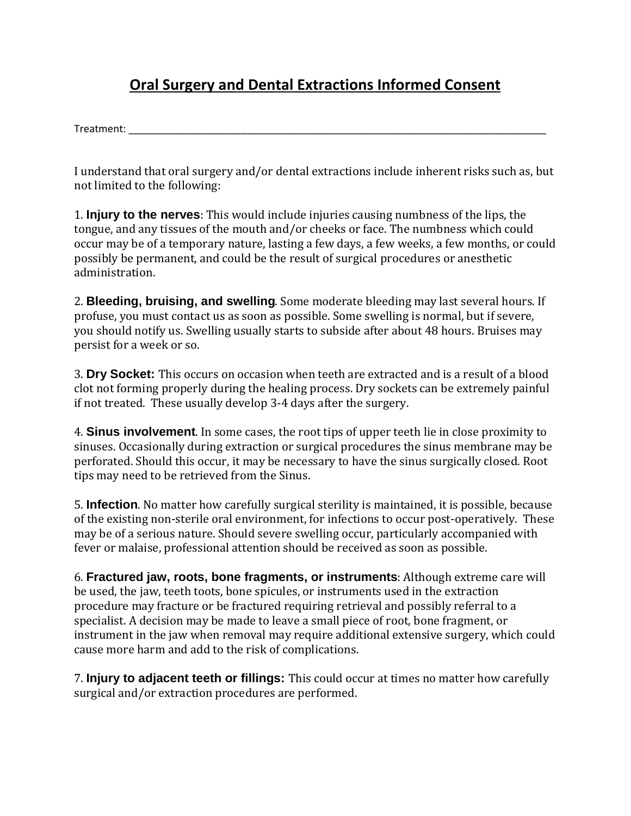## **Oral Surgery and Dental Extractions Informed Consent**

Treatment:

I understand that oral surgery and/or dental extractions include inherent risks such as, but not limited to the following:

1. **Injury to the nerves**: This would include injuries causing numbness of the lips, the tongue, and any tissues of the mouth and/or cheeks or face. The numbness which could occur may be of a temporary nature, lasting a few days, a few weeks, a few months, or could possibly be permanent, and could be the result of surgical procedures or anesthetic administration.

2. **Bleeding, bruising, and swelling**. Some moderate bleeding may last several hours. If profuse, you must contact us as soon as possible. Some swelling is normal, but if severe, you should notify us. Swelling usually starts to subside after about 48 hours. Bruises may persist for a week or so.

3. **Dry Socket:** This occurs on occasion when teeth are extracted and is a result of a blood clot not forming properly during the healing process. Dry sockets can be extremely painful if not treated. These usually develop 3-4 days after the surgery.

4. **Sinus involvement**. In some cases, the root tips of upper teeth lie in close proximity to sinuses. Occasionally during extraction or surgical procedures the sinus membrane may be perforated. Should this occur, it may be necessary to have the sinus surgically closed. Root tips may need to be retrieved from the Sinus.

5. **Infection**. No matter how carefully surgical sterility is maintained, it is possible, because of the existing non-sterile oral environment, for infections to occur post-operatively. These may be of a serious nature. Should severe swelling occur, particularly accompanied with fever or malaise, professional attention should be received as soon as possible.

6. **Fractured jaw, roots, bone fragments, or instruments**: Although extreme care will be used, the jaw, teeth toots, bone spicules, or instruments used in the extraction procedure may fracture or be fractured requiring retrieval and possibly referral to a specialist. A decision may be made to leave a small piece of root, bone fragment, or instrument in the jaw when removal may require additional extensive surgery, which could cause more harm and add to the risk of complications.

7. **Injury to adjacent teeth or fillings:** This could occur at times no matter how carefully surgical and/or extraction procedures are performed.